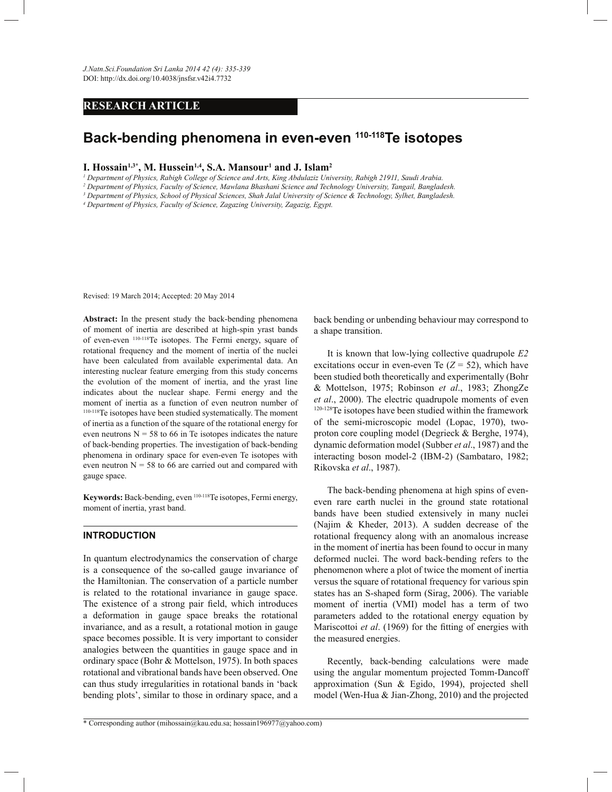# **RESEARCH ARTICLE**

# **Back-bending phenomena in even-even 110-118Te isotopes**

#### **I. Hossain1,3\*, M. Hussein1,4, S.A. Mansour<sup>1</sup> and J. Islam<sup>2</sup>**

*1 Department of Physics, Rabigh College of Science and Arts, King Abdulaziz University, Rabigh 21911, Saudi Arabia.*

*2 Department of Physics, Faculty of Science, Mawlana Bhashani Science and Technology University, Tangail, Bangladesh.*

*3 Department of Physics, School of Physical Sciences, Shah Jalal University of Science & Technology, Sylhet, Bangladesh.*

*4 Department of Physics, Faculty of Science, Zagazing University, Zagazig, Egypt.*

Revised: 19 March 2014; Accepted: 20 May 2014

**Abstract:** In the present study the back-bending phenomena of moment of inertia are described at high-spin yrast bands of even-even 110-118Te isotopes. The Fermi energy, square of rotational frequency and the moment of inertia of the nuclei have been calculated from available experimental data. An interesting nuclear feature emerging from this study concerns the evolution of the moment of inertia, and the yrast line indicates about the nuclear shape. Fermi energy and the moment of inertia as a function of even neutron number of 110-118Te isotopes have been studied systematically. The moment of inertia as a function of the square of the rotational energy for even neutrons  $N = 58$  to 66 in Te isotopes indicates the nature of back-bending properties. The investigation of back-bending phenomena in ordinary space for even-even Te isotopes with even neutron  $N = 58$  to 66 are carried out and compared with gauge space.

**Keywords:** Back-bending, even 110-118Te isotopes, Fermi energy, moment of inertia, yrast band.

#### **INTRODUCTION**

In quantum electrodynamics the conservation of charge is a consequence of the so-called gauge invariance of the Hamiltonian. The conservation of a particle number is related to the rotational invariance in gauge space. The existence of a strong pair field, which introduces a deformation in gauge space breaks the rotational invariance, and as a result, a rotational motion in gauge space becomes possible. It is very important to consider analogies between the quantities in gauge space and in ordinary space (Bohr & Mottelson, 1975). In both spaces rotational and vibrational bands have been observed. One can thus study irregularities in rotational bands in 'back bending plots', similar to those in ordinary space, and a

back bending or unbending behaviour may correspond to a shape transition.

 It is known that low-lying collective quadrupole *E2* excitations occur in even-even Te  $(Z = 52)$ , which have been studied both theoretically and experimentally (Bohr & Mottelson, 1975; Robinson *et al*., 1983; ZhongZe *et al*., 2000). The electric quadrupole moments of even 120-128Te isotopes have been studied within the framework of the semi-microscopic model (Lopac, 1970), twoproton core coupling model (Degrieck & Berghe, 1974), dynamic deformation model (Subber *et al*., 1987) and the interacting boson model-2 (IBM-2) (Sambataro, 1982; Rikovska *et al*., 1987).

 The back-bending phenomena at high spins of eveneven rare earth nuclei in the ground state rotational bands have been studied extensively in many nuclei (Najim & Kheder, 2013). A sudden decrease of the rotational frequency along with an anomalous increase in the moment of inertia has been found to occur in many deformed nuclei. The word back-bending refers to the phenomenon where a plot of twice the moment of inertia versus the square of rotational frequency for various spin states has an S-shaped form (Sirag, 2006). The variable moment of inertia (VMI) model has a term of two parameters added to the rotational energy equation by Mariscottoi *et al*. (1969) for the fitting of energies with the measured energies.

 Recently, back-bending calculations were made using the angular momentum projected Tomm-Dancoff approximation (Sun & Egido, 1994), projected shell model (Wen-Hua & Jian-Zhong, 2010) and the projected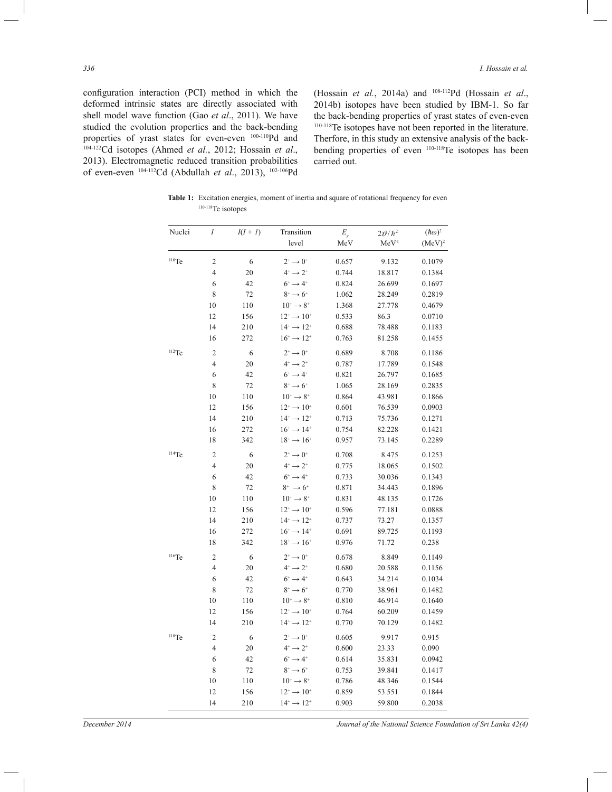configuration interaction (PCI) method in which the deformed intrinsic states are directly associated with shell model wave function (Gao *et al*., 2011). We have studied the evolution properties and the back-bending properties of yrast states for even-even 100-110Pd and 104-122Cd isotopes (Ahmed *et al.*, 2012; Hossain *et al*., 2013). Electromagnetic reduced transition probabilities of even-even 104-112Cd (Abdullah *et al*., 2013), 102-106Pd (Hossain *et al.*, 2014a) and 108-112Pd (Hossain *et al*., 2014b) isotopes have been studied by IBM-1. So far \* the back-bending properties of yrast states of even-even 110-118Te isotopes have not been reported in the literature. Therfore, in this study an extensive analysis of the backbending properties of even 110-118Te isotopes has been carried out. G WE GO WE GO WE GO WE GO WE GO WE GO WE GO WE GO WE GO WE GO WE GO WE GO WE GO WE GO WE GO WE GO WE GO WE GO

Table 1: Excitation energies, moment of inertia and square of rotational frequency for even 110-118Te isotopes

| Nuclei   | $\cal I$                | $I(I+I)$ | Transition                        | $E_{y}$ | $2\vartheta/\hbar^2$ | $(\hbar\omega)^2$ |
|----------|-------------------------|----------|-----------------------------------|---------|----------------------|-------------------|
|          |                         |          | level                             | MeV     | MeV <sup>1</sup>     | $(MeV)^2$         |
| $110$ Te | $\overline{\mathbf{c}}$ | 6        | $2^+ \rightarrow 0^+$             | 0.657   | 9.132                | 0.1079            |
|          | 4                       | 20       | $4^+ \rightarrow 2^+$             | 0.744   | 18.817               | 0.1384            |
|          | 6                       | 42       | $6^+ \rightarrow 4^+$             | 0.824   | 26.699               | 0.1697            |
|          | 8                       | 72       | $8^+ \rightarrow 6^+$             | 1.062   | 28.249               | 0.2819            |
|          | 10                      | 110      | $10^+ \rightarrow 8^+$            | 1.368   | 27.778               | 0.4679            |
|          | 12                      | 156      | $12^* \rightarrow 10^+$           | 0.533   | 86.3                 | 0.0710            |
|          | 14                      | 210      | $14^* \rightarrow 12^*$           | 0.688   | 78.488               | 0.1183            |
|          | 16                      | 272      | $16^+ \rightarrow 12^+$           | 0.763   | 81.258               | 0.1455            |
| $112$ Te | $\overline{c}$          | 6        | $2^+ \rightarrow 0^+$             | 0.689   | 8.708                | 0.1186            |
|          | 4                       | 20       | $4^+ \rightarrow 2^+$             | 0.787   | 17.789               | 0.1548            |
|          | 6                       | 42       | $6^+ \rightarrow 4^+$             | 0.821   | 26.797               | 0.1685            |
|          | 8                       | 72       | $8^+ \rightarrow 6^+$             | 1.065   | 28.169               | 0.2835            |
|          | 10                      | 110      | $10^+ \rightarrow 8^+$            | 0.864   | 43.981               | 0.1866            |
|          | 12                      | 156      | $12^+ \rightarrow 10^+$           | 0.601   | 76.539               | 0.0903            |
|          | 14                      | 210      | $14^* \rightarrow 12^*$           | 0.713   | 75.736               | 0.1271            |
|          | 16                      | 272      | $16^+ \rightarrow 14^+$           | 0.754   | 82.228               | 0.1421            |
|          | 18                      | 342      | $18^+ \rightarrow 16^+$           | 0.957   | 73.145               | 0.2289            |
| $114$ Te | $\overline{\mathbf{c}}$ | 6        | $2^+ \rightarrow 0^+$             | 0.708   | 8.475                | 0.1253            |
|          | 4                       | 20       | $4^+ \rightarrow 2^+$             | 0.775   | 18.065               | 0.1502            |
|          | 6                       | 42       | $6^+ \rightarrow 4^+$             | 0.733   | 30.036               | 0.1343            |
|          | 8                       | 72       | $8^+ \to 6^+$                     | 0.871   | 34.443               | 0.1896            |
|          | 10                      | 110      | $10^+ \rightarrow 8^+$            | 0.831   | 48.135               | 0.1726            |
|          | 12                      | 156      | $12^* \rightarrow 10^*$           | 0.596   | 77.181               | 0.0888            |
|          | 14                      | 210      | $14^* \rightarrow 12^*$           | 0.737   | 73.27                | 0.1357            |
|          | 16                      | 272      | $16^+ \rightarrow 14^+$           | 0.691   | 89.725               | 0.1193            |
|          | 18                      | 342      | $18^+ \rightarrow 16^+$           | 0.976   | 71.72                | 0.238             |
| $116$ Te | $\overline{c}$          | 6        | $2^+ \rightarrow 0^+$             | 0.678   | 8.849                | 0.1149            |
|          | 4                       | 20       | $4^{\circ} \rightarrow 2^{\circ}$ | 0.680   | 20.588               | 0.1156            |
|          | 6                       | 42       | $6^+ \rightarrow 4^+$             | 0.643   | 34.214               | 0.1034            |
|          | 8                       | 72       | $8^+ \rightarrow 6^+$             | 0.770   | 38.961               | 0.1482            |
|          | 10                      | 110      | $10^+ \rightarrow 8^+$            | 0.810   | 46.914               | 0.1640            |
|          | 12                      | 156      | $12^* \rightarrow 10^+$           | 0.764   | 60.209               | 0.1459            |
|          | 14                      | 210      | $14^{+} \rightarrow 12^{+}$       | 0.770   | 70.129               | 0.1482            |
| $118$ Te | $\overline{c}$          | 6        | $2^+ \rightarrow 0^+$             | 0.605   | 9.917                | 0.915             |
|          | $\overline{4}$          | 20       | $4^+ \rightarrow 2^+$             | 0.600   | 23.33                | 0.090             |
|          | 6                       | 42       | $6^+ \rightarrow 4^+$             | 0.614   | 35.831               | 0.0942            |
|          | 8                       | 72       | $8^+ \rightarrow 6^+$             | 0.753   | 39.841               | 0.1417            |
|          | 10                      | 110      | $10^+ \rightarrow 8^+$            | 0.786   | 48.346               | 0.1544            |
|          | 12                      | 156      | $12^+ \rightarrow 10^+$           | 0.859   | 53.551               | 0.1844            |
|          | 14                      | 210      | $14^{+} \rightarrow 12^{+}$       | 0.903   | 59.800               | 0.2038            |

*December 2014 Journal of the National Science Foundation of Sri Lanka 42(4)*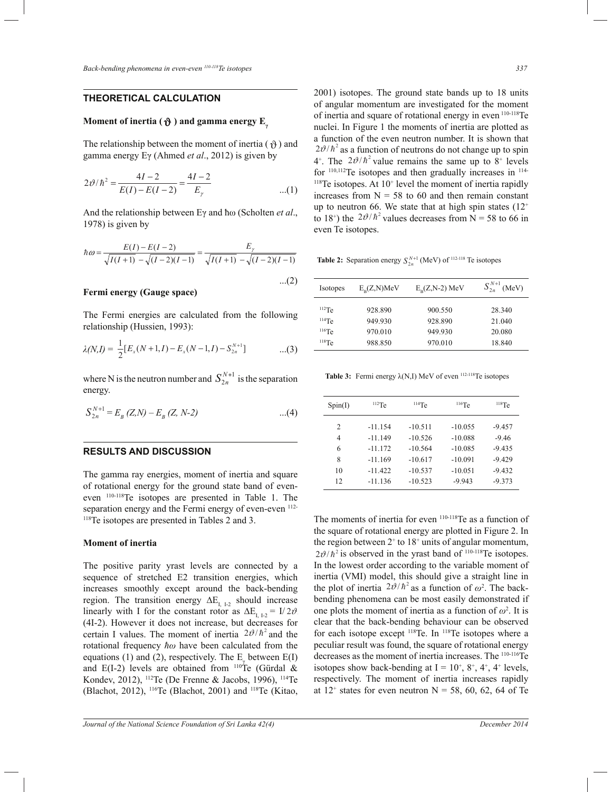# **THEORETICAL CALCULATION**

# **Moment of inertia (**  $\pmb{\vartheta}$  **) and gamma energy**  $\mathbf{E}_{\pmb{\gamma}}$

The relationship between the moment of inertia ( $\vartheta$ ) and gamma energy  $E\gamma$  (Ahmed *et al.*, 2012) is given by

$$
2\vartheta/\hbar^2 = \frac{4I - 2}{E(I) - E(I - 2)} = \frac{4I - 2}{E_\gamma}
$$
...(1)

And the relationship between Eγ and ħω (Scholten *et al*., 1978) is given by

$$
\hbar \omega = \frac{E(I) - E(I - 2)}{\sqrt{I(I + 1)} - \sqrt{(I - 2)(I - 1)}} = \frac{E_{\gamma}}{\sqrt{I(I + 1)} - \sqrt{(I - 2)(I - 1)}}
$$
\nTable 2: Separation energy  $S_{2n}^{N+1}$  (MeV) of <sup>112-118</sup> Te isotopes

 $...(2)$ 

\* \*

### **Fermi energy (Gauge space)**  $\mathbb{C}$  Cause space)

 relationship (Hussien, 1993): The Fermi energies are calcu The Fermi energies are calculated from the following

$$
\lambda(N,I) = \frac{1}{2} [E_x(N+1,I) - E_x(N-1,I) - S_{2n}^{N+1}] \qquad \qquad ...(3)
$$

where N is the neutron number and  $S_{2n}^{N+1}$  is the separation energy.

$$
S_{2n}^{N+1} = E_B (Z,N) - E_B (Z, N-2) \qquad \dots (4)
$$

#### **RESULTS AND DISCUSSION**

The gamma ray energies, moment of inertia and square of rotational energy for the ground state band of eveneven 110-118Te isotopes are presented in Table 1. The separation energy and the Fermi energy of even-even <sup>112-</sup> <sup>118</sup>Te isotopes are presented in Tables 2 and 3.  $\mathbf{r}$ 

#### **Moment of inertia**

The positive parity yrast levels are connected by a sequence of stretched E2 transition energies, which increases smoothly except around the back-bending region. The transition energy  $\Delta E_{I, I, 2}$  should increase linearly with I for the constant rotor as  $\Delta E_{I, I-2} = I/2\vartheta$ . (4I-2). However it does not increase, but decreases for certain I values. The moment of inertia  $2\theta/\hbar^2$  and the rotational frequency *ħω* have been calculated from the equations (1) and (2), respectively. The  $E_{\gamma}$  between E(I) and E(I-2) levels are obtained from  $110^{\circ}$ Te (Gürdal & Kondev, 2012), <sup>112</sup>Te (De Frenne & Jacobs, 1996), <sup>114</sup>Te (Blachot, 2012), <sup>116</sup>Te (Blachot, 2001) and <sup>118</sup>Te (Kitao,

up to neutron 60. We state that at high spin states (12<br>to 18<sup>+</sup>) the  $2v^2/h^2$  values decreases from N = 58 to 66 in increases from  $N = 58$  to 60 and then remain constant up to neutron 66. We state that at high spin states  $(12<sup>+</sup>)$ 2001) isotopes. The ground state bands up to 18 units of angular momentum are investigated for the moment of inertia and square of rotational energy in even <sup>110-118</sup>Te nuclei. In Figure 1 the moments of inertia are plotted as a function of the even neutron number. It is shown that  $2\vartheta/\hbar^2$  as a function of neutrons do not change up to spin 4<sup>+</sup>. The  $2\theta/\hbar^2$  value remains the same up to  $8$ <sup>+</sup> levels for  $110,112$ Te isotopes and then gradually increases in  $114$ - $118$ Te isotopes. At  $10<sup>+</sup>$  level the moment of inertia rapidly even Te isotopes.

rable 2. Separation energy

| $(2)$    | Isotopes | $E_p(Z,N)MeV$ | $E_p(Z, N-2)$ MeV | $S_{2n}^{N+1}$<br>(MeV) |
|----------|----------|---------------|-------------------|-------------------------|
| ollowing | $112$ Te | 928.890       | 900.550           | 28.340                  |
|          | $114$ Te | 949.930       | 928.890           | 21.040                  |
|          | $116$ Te | 970.010       | 949.930           | 20.080                  |
|          | $118$ Te | 988.850       | 970.010           | 18.840                  |

**Table 3:** Fermi energy λ(N,I) MeV of even 112-118Te isotopes

| Spin(I) | $112$ Te  | $114$ Te  | $116$ Te  | $118$ Te |
|---------|-----------|-----------|-----------|----------|
| 2       | $-11.154$ | $-10.511$ | $-10.055$ | $-9.457$ |
| 4       | $-11.149$ | $-10.526$ | $-10.088$ | $-9.46$  |
| 6       | $-11.172$ | $-10.564$ | $-10.085$ | $-9.435$ |
| 8       | $-11.169$ | $-10.617$ | $-10.091$ | $-9.429$ |
| 10      | $-11.422$ | $-10.537$ | $-10.051$ | $-9.432$ |
| 12      | $-11.136$ | $-10.523$ | $-9.943$  | $-9.373$ |

the moments of methal for even the as a famellon of the square of rotational energy are plotted in Figure 2. In The moments of inertia for even 110-118Te as a function of inertia (VMI) model, this should give a straight line in the plot of inertia  $2\vartheta/\hbar^2$  as a function of  $\omega^2$ . The back- $2v/h^2$  is observed in the yrast band of  $110-118$ Te isotopes. the region between  $2^+$  to  $18^+$  units of angular momentum, bending phenomena can be most easily demonstrated if  $1/2\vartheta$  one plots the moment of inertia as a function of  $\omega^2$ . It is In the lowest order according to the variable moment of clear that the back-bending behaviour can be observed for each isotope except <sup>118</sup>Te. In <sup>118</sup>Te isotopes where a peculiar result was found, the square of rotational energy decreases as the moment of inertia increases. The 110-116Te isotopes show back-bending at  $I = 10^{\circ}, 8^{\circ}, 4^{\circ}, 4^{\circ}$  levels, respectively. The moment of inertia increases rapidly at  $12^+$  states for even neutron  $N = 58, 60, 62, 64$  of Te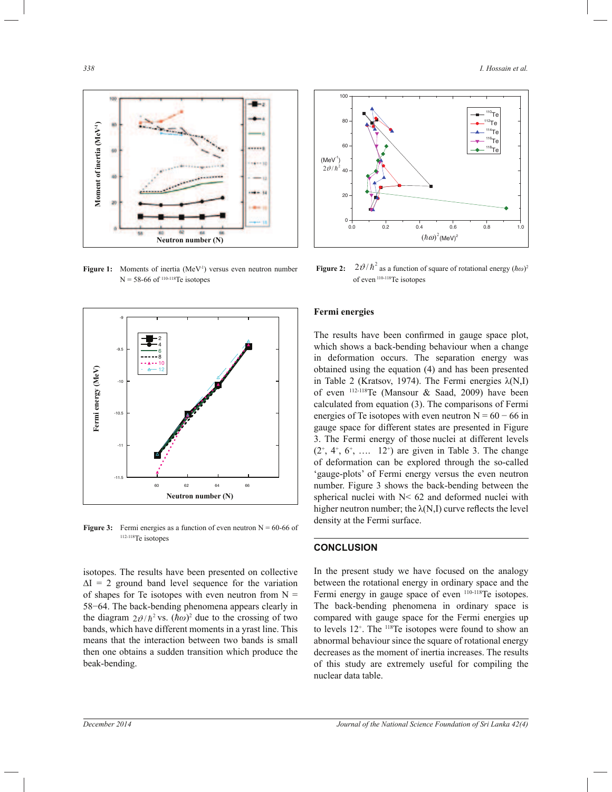

Figure 1: Moments of inertia (MeV<sup>-1</sup>) versus even neutron number  $N = 58-66$  of  $110-118$ Te isotopes



**Figure 3:** Fermi energies as a function of even neutron  $N = 60{\text -}66$  of <sup>112-118</sup>Te isotopes

isotopes. The results have been presented on collective  $\Delta I = 2$  ground band level sequence for the variation of shapes for Te isotopes with even neutron from  $N =$ 58−64. The back-bending phenomena appears clearly in the diagram  $2\vartheta/\hbar^2$  vs.  $(\hbar \omega)^2$  due to the crossing of two bands, which have different moments in a yrast line. This means that the interaction between two bands is small then one obtains a sudden transition which produce the beak-bending.



**Figure 2:**  $2\theta/\hbar^2$  as a function of square of rotational energy  $(\hbar \omega)^2$ of even 110-118Te isotopes

# **Fermi energies**

The results have been confirmed in gauge space plot, which shows a back-bending behaviour when a change in deformation occurs. The separation energy was obtained using the equation (4) and has been presented in Table 2 (Kratsov, 1974). The Fermi energies  $\lambda(N,I)$ of even  $^{112-118}$ Te (Mansour & Saad, 2009) have been calculated from equation (3). The comparisons of Fermi energies of Te isotopes with even neutron  $N = 60 - 66$  in gauge space for different states are presented in Figure 3. The Fermi energy of those nuclei at different levels  $(2^*, 4^*, 6^*, \ldots 12^*)$  are given in Table 3. The change of deformation can be explored through the so-called 'gauge-plots' of Fermi energy versus the even neutron number. Figure 3 shows the back-bending between the spherical nuclei with N< 62 and deformed nuclei with higher neutron number; the  $\lambda(N,I)$  curve reflects the level density at the Fermi surface.

# **CONCLUSION**

In the present study we have focused on the analogy between the rotational energy in ordinary space and the Fermi energy in gauge space of even <sup>110-118</sup>Te isotopes. The back-bending phenomena in ordinary space is compared with gauge space for the Fermi energies up to levels 12<sup>+</sup>. The <sup>118</sup>Te isotopes were found to show an abnormal behaviour since the square of rotational energy decreases as the moment of inertia increases. The results of this study are extremely useful for compiling the nuclear data table.